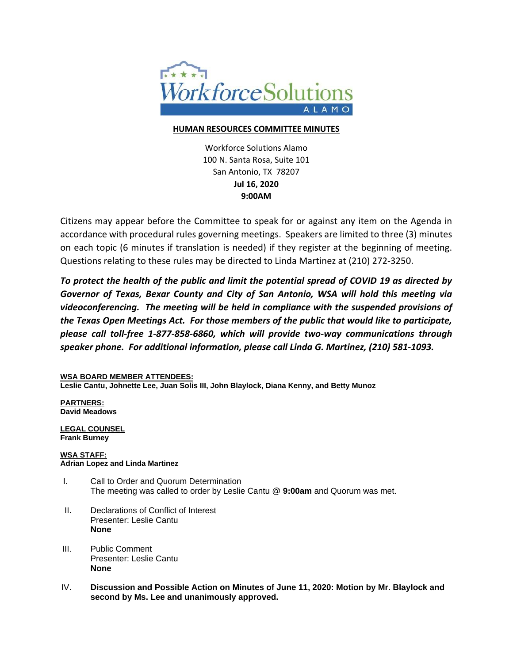

## **HUMAN RESOURCES COMMITTEE MINUTES**

Workforce Solutions Alamo 100 N. Santa Rosa, Suite 101 San Antonio, TX 78207 **Jul 16, 2020 9:00AM**

Citizens may appear before the Committee to speak for or against any item on the Agenda in accordance with procedural rules governing meetings. Speakers are limited to three (3) minutes on each topic (6 minutes if translation is needed) if they register at the beginning of meeting. Questions relating to these rules may be directed to Linda Martinez at (210) 272-3250.

*To protect the health of the public and limit the potential spread of COVID 19 as directed by Governor of Texas, Bexar County and City of San Antonio, WSA will hold this meeting via videoconferencing. The meeting will be held in compliance with the suspended provisions of the Texas Open Meetings Act. For those members of the public that would like to participate, please call toll-free 1-877-858-6860, which will provide two-way communications through speaker phone. For additional information, please call Linda G. Martinez, (210) 581-1093.*

## **WSA BOARD MEMBER ATTENDEES:**

**Leslie Cantu, Johnette Lee, Juan Solis III, John Blaylock, Diana Kenny, and Betty Munoz**

**PARTNERS: David Meadows**

**LEGAL COUNSEL Frank Burney**

## **WSA STAFF: Adrian Lopez and Linda Martinez**

- I. Call to Order and Quorum Determination The meeting was called to order by Leslie Cantu @ **9:00am** and Quorum was met.
- II. Declarations of Conflict of Interest Presenter: Leslie Cantu **None**
- III. Public Comment Presenter: Leslie Cantu **None**
- IV. **Discussion and Possible Action on Minutes of June 11, 2020: Motion by Mr. Blaylock and second by Ms. Lee and unanimously approved.**